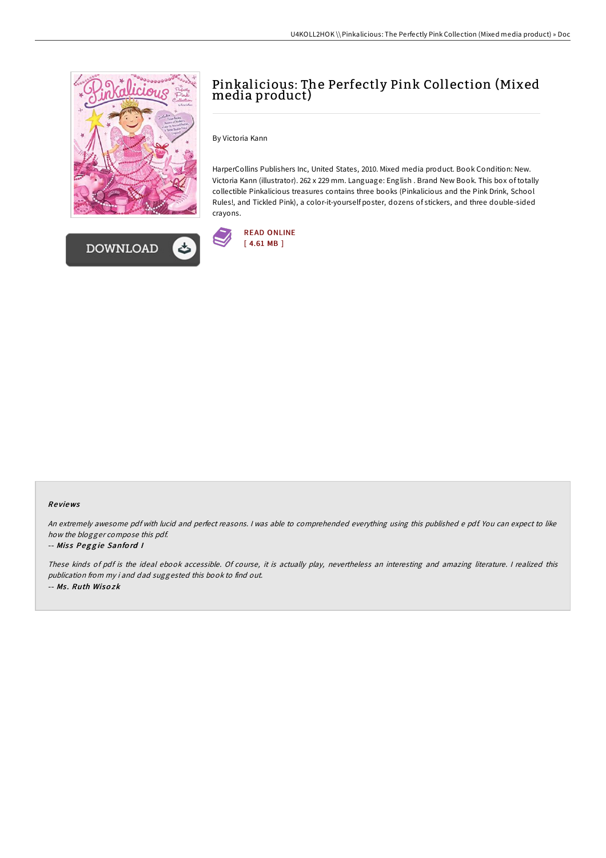

**DOWNLOAD** 



By Victoria Kann

HarperCollins Publishers Inc, United States, 2010. Mixed media product. Book Condition: New. Victoria Kann (illustrator). 262 x 229 mm. Language: English . Brand New Book. This box of totally collectible Pinkalicious treasures contains three books (Pinkalicious and the Pink Drink, School Rules!, and Tickled Pink), a color-it-yourself poster, dozens of stickers, and three double-sided crayons.



## Re views

An extremely awesome pdf with lucid and perfect reasons. <sup>I</sup> was able to comprehended everything using this published <sup>e</sup> pdf. You can expect to like how the blogger compose this pdf.

## -- Miss Peggie Sanford I

These kinds of pdf is the ideal ebook accessible. Of course, it is actually play, nevertheless an interesting and amazing literature. <sup>I</sup> realized this publication from my i and dad suggested this book to find out. -- Ms . Ruth Wiso zk